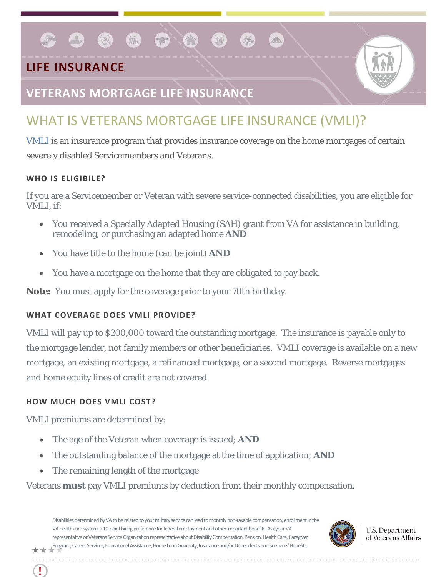## **LIFE INSURANCE**

### **VETERANS MORTGAGE LIFE INSURANCE**

 $\bullet$   $\bullet$   $\bullet$   $\bullet$   $\bullet$ 

# WHAT IS VETERANS MORTGAGE LIFE INSURANCE (VMLI)?

[VMLI](http://www.benefits.va.gov/insurance/vmli.asp) is an insurance program that provides insurance coverage on the home mortgages of certain severely disabled Servicemembers and Veterans.

#### **WHO IS ELIGIBILE?**

If you are a Servicemember or Veteran with severe service-connected disabilities, you are eligible for VMLI, if:

- You received a Specially Adapted Housing (SAH) grant from VA for assistance in building, remodeling, or purchasing an adapted home *AND*
- You have title to the home (can be joint) *AND*
- You have a mortgage on the home that they are obligated to pay back.

*Note:* You must apply for the coverage prior to your 70th birthday.

#### **WHAT COVERAGE DOES VMLI PROVIDE?**

VMLI will pay up to \$200,000 toward the outstanding mortgage. The insurance is payable only to the mortgage lender, not family members or other beneficiaries. VMLI coverage is available on a new mortgage, an existing mortgage, a refinanced mortgage, or a second mortgage. Reverse mortgages and home equity lines of credit are not covered.

#### **HOW MUCH DOES VMLI COST?**

VMLI premiums are determined by:

- The age of the Veteran when coverage is issued; *AND*
- The outstanding balance of the mortgage at the time of application; *AND*
- The remaining length of the mortgage

### Veterans *must* pay VMLI premiums by deduction from their monthly compensation.

Disabilities determined by VA to be related to your military service can lead to monthly non-taxable compensation, enrollment in the VA health care system, a 10-point hiring preference for federal employment and other important benefits. Ask your VA representative or Veterans Service Organization representative about Disability Compensation, Pension, Health Care, Caregiver Program, Career Services, Educational Assistance, Home Loan Guaranty, Insurance and/or Dependents and Survivors' Benefits.<br>★ ★



**U.S. Department** of Veterans Affairs